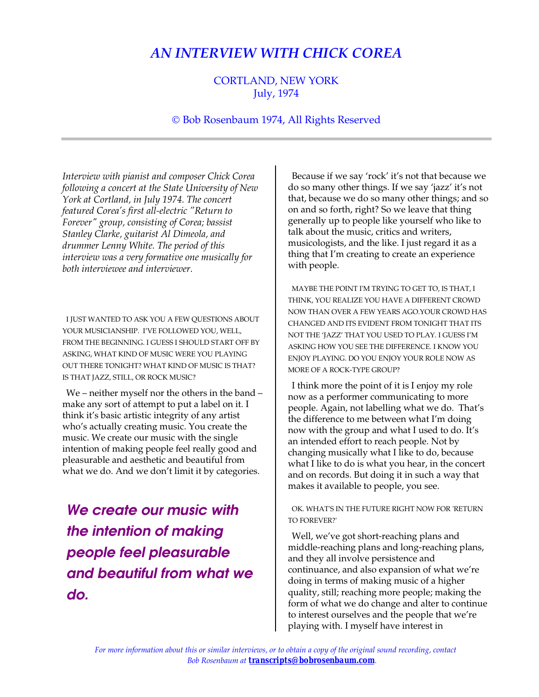### *AN INTERVIEW WITH CHICK COREA*

### CORTLAND, NEW YORK July, 1974

#### Bob Rosenbaum 1974, All Rights Reserved

*Interview with pianist and composer Chick Corea following a concert at the State University of New York at Cortland, in July 1974. The concert featured Corea's first all-electric "Return to Forever" group, consisting of Corea; bassist Stanley Clarke, guitarist Al Dimeola, and drummer Lenny White. The period of this interview was a very formative one musically for both interviewee and interviewer.*

I JUST WANTED TO ASK YOU A FEW QUESTIONS ABOUT YOUR MUSICIANSHIP. I'VE FOLLOWED YOU, WELL, FROM THE BEGINNING. I GUESS I SHOULD START OFF BY ASKING, WHAT KIND OF MUSIC WERE YOU PLAYING OUT THERE TONIGHT? WHAT KIND OF MUSIC IS THAT? IS THAT JAZZ, STILL, OR ROCK MUSIC?

We – neither myself nor the others in the band – make any sort of attempt to put a label on it. I think it's basic artistic integrity of any artist who's actually creating music. You create the music. We create our music with the single intention of making people feel really good and pleasurable and aesthetic and beautiful from what we do. And we don't limit it by categories.

*We create our music with the intention of making people feel pleasurable and beautiful from what we do.*

Because if we say 'rock' it's not that because we do so many other things. If we say 'jazz' it's not that, because we do so many other things; and so on and so forth, right? So we leave that thing generally up to people like yourself who like to talk about the music, critics and writers, musicologists, and the like. I just regard it as a thing that I'm creating to create an experience with people.

MAYBE THE POINT I'M TRYING TO GET TO, IS THAT, I THINK, YOU REALIZE YOU HAVE A DIFFERENT CROWD NOW THAN OVER A FEW YEARS AGO.YOUR CROWD HAS CHANGED AND ITS EVIDENT FROM TONIGHT THAT ITS NOT THE 'JAZZ' THAT YOU USED TO PLAY. I GUESS I'M ASKING HOW YOU SEE THE DIFFERENCE. I KNOW YOU ENJOY PLAYING. DO YOU ENJOY YOUR ROLE NOW AS MORE OF A ROCK-TYPE GROUP?

I think more the point of it is I enjoy my role now as a performer communicating to more people. Again, not labelling what we do. That's the difference to me between what I'm doing now with the group and what I used to do. It's an intended effort to reach people. Not by changing musically what I like to do, because what I like to do is what you hear, in the concert and on records. But doing it in such a way that makes it available to people, you see.

OK. WHAT'S IN THE FUTURE RIGHT NOW FOR 'RETURN TO FOREVER?'

Well, we've got short-reaching plans and middle-reaching plans and long-reaching plans, and they all involve persistence and continuance, and also expansion of what we're doing in terms of making music of a higher quality, still; reaching more people; making the form of what we do change and alter to continue to interest ourselves and the people that we're playing with. I myself have interest in

*For more information about this or similar interviews, or to obtain a copy of the original sound recording, contact Bob Rosenbaum at transcripts@bobrosenbaum.com.*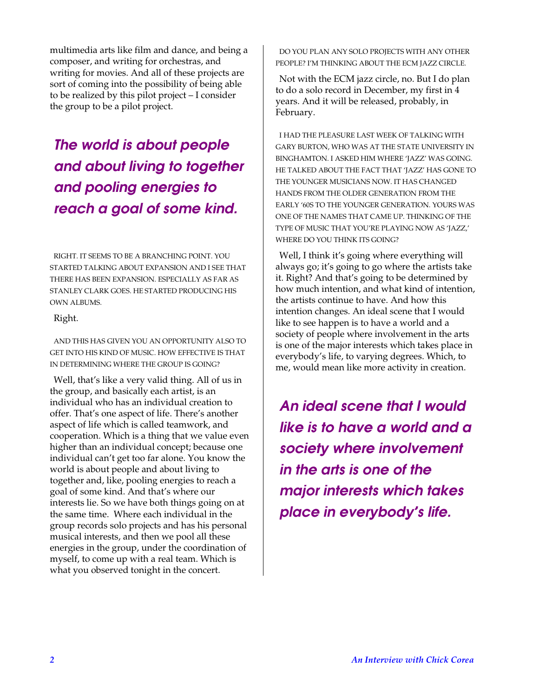multimedia arts like film and dance, and being a composer, and writing for orchestras, and writing for movies. And all of these projects are sort of coming into the possibility of being able to be realized by this pilot project – I consider the group to be a pilot project.

# *The world is about people and about living to together and pooling energies to reach a goal of some kind.*

RIGHT. IT SEEMS TO BE A BRANCHING POINT. YOU STARTED TALKING ABOUT EXPANSION AND I SEE THAT THERE HAS BEEN EXPANSION. ESPECIALLY AS FAR AS STANLEY CLARK GOES. HE STARTED PRODUCING HIS OWN ALBUMS.

Right.

AND THIS HAS GIVEN YOU AN OPPORTUNITY ALSO TO GET INTO HIS KIND OF MUSIC. HOW EFFECTIVE IS THAT IN DETERMINING WHERE THE GROUP IS GOING?

Well, that's like a very valid thing. All of us in the group, and basically each artist, is an individual who has an individual creation to offer. That's one aspect of life. There's another aspect of life which is called teamwork, and cooperation. Which is a thing that we value even higher than an individual concept; because one individual can't get too far alone. You know the world is about people and about living to together and, like, pooling energies to reach a goal of some kind. And that's where our interests lie. So we have both things going on at the same time. Where each individual in the group records solo projects and has his personal musical interests, and then we pool all these energies in the group, under the coordination of myself, to come up with a real team. Which is what you observed tonight in the concert.

DO YOU PLAN ANY SOLO PROJECTS WITH ANY OTHER PEOPLE? I'M THINKING ABOUT THE ECM JAZZ CIRCLE.

Not with the ECM jazz circle, no. But I do plan to do a solo record in December, my first in 4 years. And it will be released, probably, in February.

I HAD THE PLEASURE LAST WEEK OF TALKING WITH GARY BURTON, WHO WAS AT THE STATE UNIVERSITY IN BINGHAMTON. I ASKED HIM WHERE 'JAZZ' WAS GOING. HE TALKED ABOUT THE FACT THAT 'JAZZ' HAS GONE TO THE YOUNGER MUSICIANS NOW. IT HAS CHANGED HANDS FROM THE OLDER GENERATION FROM THE EARLY '60S TO THE YOUNGER GENERATION. YOURS WAS ONE OF THE NAMES THAT CAME UP. THINKING OF THE TYPE OF MUSIC THAT YOU'RE PLAYING NOW AS 'JAZZ,' WHERE DO YOU THINK ITS GOING?

Well, I think it's going where everything will always go; it's going to go where the artists take it. Right? And that's going to be determined by how much intention, and what kind of intention, the artists continue to have. And how this intention changes. An ideal scene that I would like to see happen is to have a world and a society of people where involvement in the arts is one of the major interests which takes place in everybody's life, to varying degrees. Which, to me, would mean like more activity in creation.

*An ideal scene that I would like is to have a world and a society where involvement in the arts is one of the major interests which takes place in everybody's life.*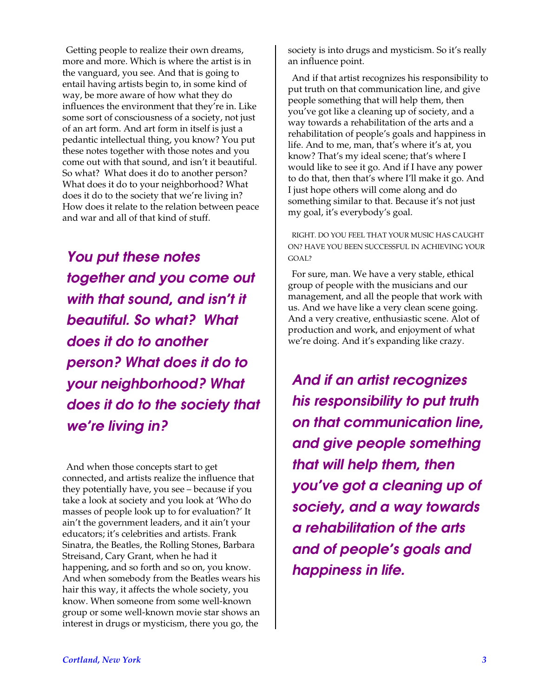Getting people to realize their own dreams, more and more. Which is where the artist is in the vanguard, you see. And that is going to entail having artists begin to, in some kind of way, be more aware of how what they do influences the environment that they're in. Like some sort of consciousness of a society, not just of an art form. And art form in itself is just a pedantic intellectual thing, you know? You put these notes together with those notes and you come out with that sound, and isn't it beautiful. So what? What does it do to another person? What does it do to your neighborhood? What does it do to the society that we're living in? How does it relate to the relation between peace and war and all of that kind of stuff.

*You put these notes together and you come out with that sound, and isn't it beautiful. So what? What does it do to another person? What does it do to your neighborhood? What does it do to the society that we're living in?*

And when those concepts start to get connected, and artists realize the influence that they potentially have, you see – because if you take a look at society and you look at 'Who do masses of people look up to for evaluation?' It ain't the government leaders, and it ain't your educators; it's celebrities and artists. Frank Sinatra, the Beatles, the Rolling Stones, Barbara Streisand, Cary Grant, when he had it happening, and so forth and so on, you know. And when somebody from the Beatles wears his hair this way, it affects the whole society, you know. When someone from some well-known group or some well-known movie star shows an interest in drugs or mysticism, there you go, the

society is into drugs and mysticism. So it's really an influence point.

And if that artist recognizes his responsibility to put truth on that communication line, and give people something that will help them, then you've got like a cleaning up of society, and a way towards a rehabilitation of the arts and a rehabilitation of people's goals and happiness in life. And to me, man, that's where it's at, you know? That's my ideal scene; that's where I would like to see it go. And if I have any power to do that, then that's where I'll make it go. And I just hope others will come along and do something similar to that. Because it's not just my goal, it's everybody's goal.

RIGHT. DO YOU FEEL THAT YOUR MUSIC HAS CAUGHT ON? HAVE YOU BEEN SUCCESSFUL IN ACHIEVING YOUR GOAL?

For sure, man. We have a very stable, ethical group of people with the musicians and our management, and all the people that work with us. And we have like a very clean scene going. And a very creative, enthusiastic scene. Alot of production and work, and enjoyment of what we're doing. And it's expanding like crazy.

*And if an artist recognizes his responsibility to put truth on that communication line, and give people something that will help them, then you've got a cleaning up of society, and a way towards a rehabilitation of the arts and of people's goals and happiness in life.*